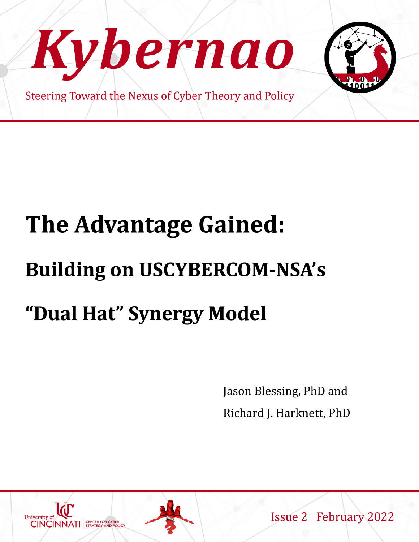

# The Advantage Gained: **Building on USCYBERCOM-NSA's** "Dual Hat" Synergy Model

Jason Blessing, PhD and Richard J. Harknett, PhD



**Issue 2 February 2022**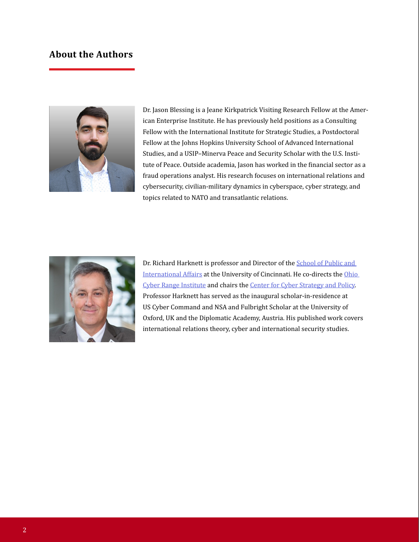### **About the Authors**



Dr. Jason Blessing is a Jeane Kirkpatrick Visiting Research Fellow at the American Enterprise Institute. He has previously held positions as a Consulting Fellow with the International Institute for Strategic Studies, a Postdoctoral Fellow at the Johns Hopkins University School of Advanced International Studies, and a USIP–Minerva Peace and Security Scholar with the U.S. Institute of Peace. Outside academia, Jason has worked in the financial sector as a fraud operations analyst. His research focuses on international relations and cybersecurity, civilian-military dynamics in cyberspace, cyber strategy, and topics related to NATO and transatlantic relations.



Dr. Richard Harknett is professor and Director of the [School of Public and](https://www.artsci.uc.edu/departments/spia.html)  International Affairs at the University of Cincinnati. He co-directs the Ohio Cyber Range Institute and chairs th[e Center for Cyber Strategy and Policy.](https://www.artsci.uc.edu/departments/spia/polisci-cyber-strategy-html.html)  Professor Harknett has served as the inaugural scholar-in-residence at US Cyber Command and NSA and Fulbright Scholar at the University of Oxford, UK and the Diplomatic Academy, Austria. His published work covers international relations theory, cyber and international security studies.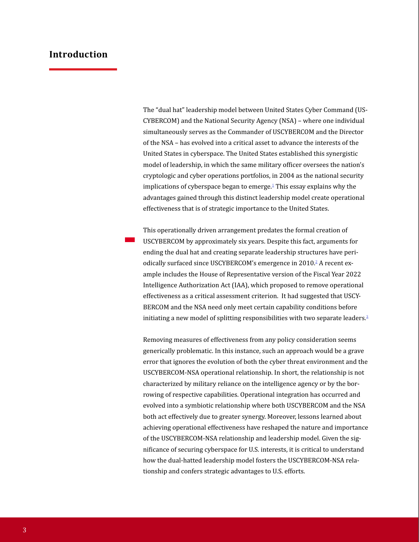#### **Introduction**

The "dual hat" leadership model between United States Cyber Command (US-CYBERCOM) and the National Security Agency (NSA) – where one individual simultaneously serves as the Commander of USCYBERCOM and the Director of the NSA – has evolved into a critical asset to advance the interests of the United States in cyberspace. The United States established this synergistic model of leadership, in which the same military officer oversees the nation's cryptologic and cyber operations portfolios, in 2004 as the national security implications of cyberspace began to emerge.<sup>1</sup> This essay explains why the advantages gained through this distinct leadership model create operational effectiveness that is of strategic importance to the United States.

**The United States established this synergistic model of leadership, in which the same military officer oversees the nation's cryptologic and cyber operations portfolios, in 2004 as the national security implications of cyberspace began to emerge.** This operationally driven arrangement predates the formal creation of USCYBERCOM by approximately six years. Despite this fact, arguments for ending the dual hat and creating separate leadership structures have periodically surfaced since USCYBERCOM's emergence in 2010.<sup>2</sup> A recent example includes the House of Representative version of the Fiscal Year 2022 Intelligence Authorization Act (IAA), which proposed to remove operational effectiveness as a critical assessment criterion. It had suggested that USCY-BERCOM and the NSA need only meet certain capability conditions before initiating a new model of splitting responsibilities with two separate leaders. $3$ 

Removing measures of effectiveness from any policy consideration seems generically problematic. In this instance, such an approach would be a grave error that ignores the evolution of both the cyber threat environment and the USCYBERCOM-NSA operational relationship. In short, the relationship is not characterized by military reliance on the intelligence agency or by the borrowing of respective capabilities. Operational integration has occurred and evolved into a symbiotic relationship where both USCYBERCOM and the NSA both act effectively due to greater synergy. Moreover, lessons learned about achieving operational effectiveness have reshaped the nature and importance of the USCYBERCOM-NSA relationship and leadership model. Given the significance of securing cyberspace for U.S. interests, it is critical to understand how the dual-hatted leadership model fosters the USCYBERCOM-NSA relationship and confers strategic advantages to U.S. efforts.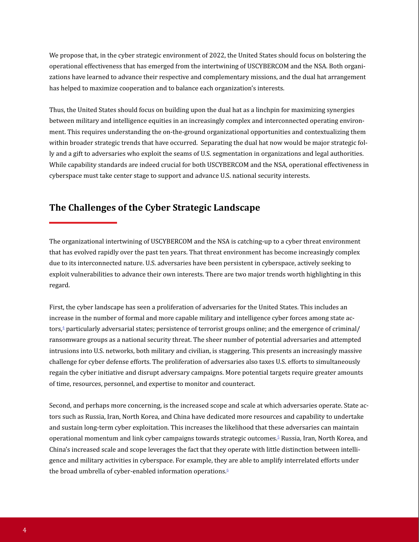We propose that, in the cyber strategic environment of 2022, the United States should focus on bolstering the operational effectiveness that has emerged from the intertwining of USCYBERCOM and the NSA. Both organizations have learned to advance their respective and complementary missions, and the dual hat arrangement has helped to maximize cooperation and to balance each organization's interests.

Thus, the United States should focus on building upon the dual hat as a linchpin for maximizing synergies between military and intelligence equities in an increasingly complex and interconnected operating environment. This requires understanding the on-the-ground organizational opportunities and contextualizing them within broader strategic trends that have occurred. Separating the dual hat now would be major strategic folly and a gift to adversaries who exploit the seams of U.S. segmentation in organizations and legal authorities. While capability standards are indeed crucial for both USCYBERCOM and the NSA, operational effectiveness in cyberspace must take center stage to support and advance U.S. national security interests.

## **The Challenges of the Cyber Strategic Landscape**

The organizational intertwining of USCYBERCOM and the NSA is catching-up to a cyber threat environment that has evolved rapidly over the past ten years. That threat environment has become increasingly complex due to its interconnected nature. U.S. adversaries have been persistent in cyberspace, actively seeking to exploit vulnerabilities to advance their own interests. There are two major trends worth highlighting in this regard.

First, the cyber landscape has seen a proliferation of adversaries for the United States. This includes an increase in the number of formal and more capable military and intelligence cyber forces among state actors,<sup>4</sup> particularly adversarial states; persistence of terrorist groups online; and the emergence of criminal/ ransomware groups as a national security threat. The sheer number of potential adversaries and attempted intrusions into U.S. networks, both military and civilian, is staggering. This presents an increasingly massive challenge for cyber defense efforts. The proliferation of adversaries also taxes U.S. efforts to simultaneously regain the cyber initiative and disrupt adversary campaigns. More potential targets require greater amounts of time, resources, personnel, and expertise to monitor and counteract.

Second, and perhaps more concerning, is the increased scope and scale at which adversaries operate. State actors such as Russia, Iran, North Korea, and China have dedicated more resources and capability to undertake and sustain long-term cyber exploitation. This increases the likelihood that these adversaries can maintain operational momentum and link cyber campaigns towards strategic outcomes.<sup>5</sup> Russia, Iran, North Korea, and China's increased scale and scope leverages the fact that they operate with little distinction between intelligence and military activities in cyberspace. For example, they are able to amplify interrelated efforts under the broad umbrella of cyber-enabled information operations.<sup>6</sup>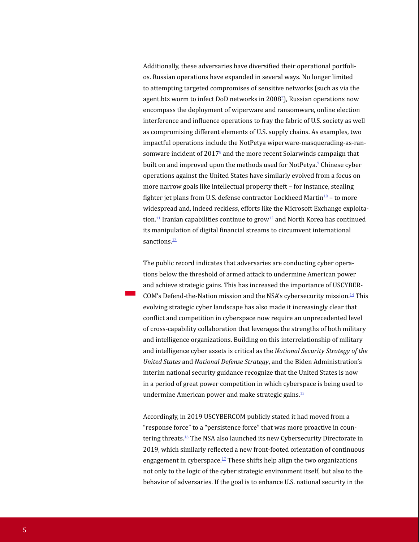Additionally, these adversaries have diversified their operational portfolios. Russian operations have expanded in several ways. No longer limited to attempting targeted compromises of sensitive networks (such as via the agent.btz worm to infect DoD networks in 2008<sup>7</sup>), Russian operations now encompass the deployment of wiperware and ransomware, online election interference and influence operations to fray the fabric of U.S. society as well as compromising different elements of U.S. supply chains. As examples, two impactful operations include the NotPetya wiperware-masquerading-as-ransomware incident of  $2017<sup>8</sup>$  and the more recent Solarwinds campaign that built on and improved upon the methods used for NotPetya.<sup>9</sup> Chinese cyber operations against the United States have similarly evolved from a focus on more narrow goals like intellectual property theft – for instance, stealing fighter jet plans from U.S. defense contractor Lockheed Martin $10 -$ to more widespread and, indeed reckless, efforts like the Microsoft Exchange exploitation.<sup>11</sup> Iranian capabilities continue to grow<sup>12</sup> and North Korea has continued its manipulation of digital financial streams to circumvent international sanctions.<sup>13</sup>

The public record indicates that adversaries are conducting cyber operations below the threshold of armed attack to undermine American power and achieve strategic gains. This has increased the importance of USCYBER-COM's Defend-the-Nation mission and the NSA's cybersecurity mission.<sup>14</sup> This evolving strategic cyber landscape has also made it increasingly clear that conflict and competition in cyberspace now require an unprecedented level of cross-capability collaboration that leverages the strengths of both military and intelligence organizations. Building on this interrelationship of military and intelligence cyber assets is critical as the *National Security Strategy of the United States* and *National Defense Strategy*, and the Biden Administration's interim national security guidance recognize that the United States is now in a period of great power competition in which cyberspace is being used to undermine American power and make strategic gains.15

Accordingly, in 2019 USCYBERCOM publicly stated it had moved from a "response force" to a "persistence force" that was more proactive in countering threats.<sup>16</sup> The NSA also launched its new Cybersecurity Directorate in 2019, which similarly reflected a new front-footed orientation of continuous engagement in cyberspace.<sup>17</sup> These shifts help align the two organizations not only to the logic of the cyber strategic environment itself, but also to the behavior of adversaries. If the goal is to enhance U.S. national security in the

**This evolving strategic cyber landscape has also made it increasingly clear that conflict and competition in cyberspace now require an unprecedented level of cross-capability collaboration that leverages the strengths of both military and intelligence organizations.**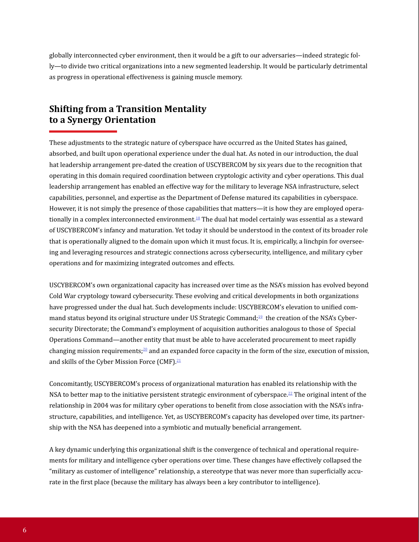globally interconnected cyber environment, then it would be a gift to our adversaries—indeed strategic folly—to divide two critical organizations into a new segmented leadership. It would be particularly detrimental as progress in operational effectiveness is gaining muscle memory.

## **Shifting from a Transition Mentality to a Synergy Orientation**

These adjustments to the strategic nature of cyberspace have occurred as the United States has gained, absorbed, and built upon operational experience under the dual hat. As noted in our introduction, the dual hat leadership arrangement pre-dated the creation of USCYBERCOM by six years due to the recognition that operating in this domain required coordination between cryptologic activity and cyber operations. This dual leadership arrangement has enabled an effective way for the military to leverage NSA infrastructure, select capabilities, personnel, and expertise as the Department of Defense matured its capabilities in cyberspace. However, it is not simply the presence of those capabilities that matters—it is how they are employed operationally in a complex interconnected environment. 18 The dual hat model certainly was essential as a steward of USCYBERCOM's infancy and maturation. Yet today it should be understood in the context of its broader role that is operationally aligned to the domain upon which it must focus. It is, empirically, a linchpin for overseeing and leveraging resources and strategic connections across cybersecurity, intelligence, and military cyber operations and for maximizing integrated outcomes and effects.

USCYBERCOM's own organizational capacity has increased over time as the NSA's mission has evolved beyond Cold War cryptology toward cybersecurity. These evolving and critical developments in both organizations have progressed under the dual hat. Such developments include: USCYBERCOM's elevation to unified command status beyond its original structure under US Strategic Command;<sup>19</sup> the creation of the NSA's Cybersecurity Directorate; the Command's employment of acquisition authorities analogous to those of Special Operations Command—another entity that must be able to have accelerated procurement to meet rapidly changing mission requirements;<sup>20</sup> and an expanded force capacity in the form of the size, execution of mission, and skills of the Cyber Mission Force (CMF).<sup>21</sup>

Concomitantly, USCYBERCOM's process of organizational maturation has enabled its relationship with the NSA to better map to the initiative persistent strategic environment of cyberspace.<sup>22</sup> The original intent of the relationship in 2004 was for military cyber operations to benefit from close association with the NSA's infrastructure, capabilities, and intelligence. Yet, as USCYBERCOM's capacity has developed over time, its partnership with the NSA has deepened into a symbiotic and mutually beneficial arrangement.

A key dynamic underlying this organizational shift is the convergence of technical and operational requirements for military and intelligence cyber operations over time. These changes have effectively collapsed the "military as customer of intelligence" relationship, a stereotype that was never more than superficially accurate in the first place (because the military has always been a key contributor to intelligence).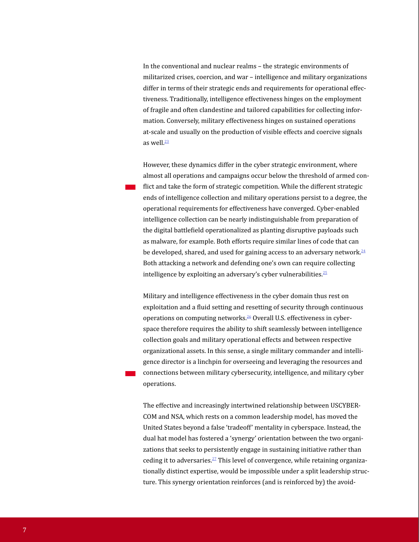In the conventional and nuclear realms – the strategic environments of militarized crises, coercion, and war – intelligence and military organizations differ in terms of their strategic ends and requirements for operational effectiveness. Traditionally, intelligence effectiveness hinges on the employment of fragile and often clandestine and tailored capabilities for collecting information. Conversely, military effectiveness hinges on sustained operations at-scale and usually on the production of visible effects and coercive signals as well. $\frac{23}{2}$ 

**While the different strategic ends of intelligence collection and military operations persist to a degree, the operational requirements for effectiveness have converged.**

However, these dynamics differ in the cyber strategic environment, where almost all operations and campaigns occur below the threshold of armed conflict and take the form of strategic competition. While the different strategic ends of intelligence collection and military operations persist to a degree, the operational requirements for effectiveness have converged. Cyber-enabled intelligence collection can be nearly indistinguishable from preparation of the digital battlefield operationalized as planting disruptive payloads such as malware, for example. Both efforts require similar lines of code that can be developed, shared, and used for gaining access to an adversary network.<sup>24</sup> Both attacking a network and defending one's own can require collecting intelligence by exploiting an adversary's cyber vulnerabilities. $25$ 

Military and intelligence effectiveness in the cyber domain thus rest on exploitation and a fluid setting and resetting of security through continuous operations on computing networks.26 Overall U.S. effectiveness in cyberspace therefore requires the ability to shift seamlessly between intelligence collection goals and military operational effects and between respective organizational assets. In this sense, a single military commander and intelligence director is a linchpin for overseeing and leveraging the resources and connections between military cybersecurity, intelligence, and military cyber operations.

**Instead, the dual hat model has fostered a 'synergy' orientation between the two organizations that seeks to persistently engage in sustaining initiative rather than ceding it to adversaries.**

The effective and increasingly intertwined relationship between USCYBER-COM and NSA, which rests on a common leadership model, has moved the United States beyond a false 'tradeoff' mentality in cyberspace. Instead, the dual hat model has fostered a 'synergy' orientation between the two organizations that seeks to persistently engage in sustaining initiative rather than ceding it to adversaries.<sup>27</sup> This level of convergence, while retaining organizationally distinct expertise, would be impossible under a split leadership structure. This synergy orientation reinforces (and is reinforced by) the avoid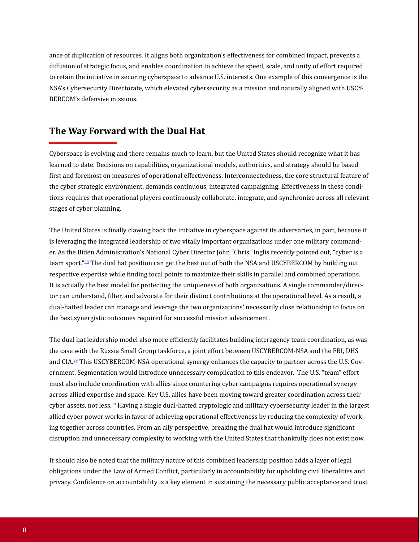ance of duplication of resources. It aligns both organization's effectiveness for combined impact, prevents a diffusion of strategic focus, and enables coordination to achieve the speed, scale, and unity of effort required to retain the initiative in securing cyberspace to advance U.S. interests. One example of this convergence is the NSA's Cybersecurity Directorate, which elevated cybersecurity as a mission and naturally aligned with USCY-BERCOM's defensive missions.

### **The Way Forward with the Dual Hat**

Cyberspace is evolving and there remains much to learn, but the United States should recognize what it has learned to date. Decisions on capabilities, organizational models, authorities, and strategy should be based first and foremost on measures of operational effectiveness. Interconnectedness, the core structural feature of the cyber strategic environment, demands continuous, integrated campaigning. Effectiveness in these conditions requires that operational players continuously collaborate, integrate, and synchronize across all relevant stages of cyber planning.

The United States is finally clawing back the initiative in cyberspace against its adversaries, in part, because it is leveraging the integrated leadership of two vitally important organizations under one military commander. As the Biden Administration's National Cyber Director John "Chris" Inglis recently pointed out, "cyber is a team sport."28 The dual hat position can get the best out of both the NSA and USCYBERCOM by building out respective expertise while finding focal points to maximize their skills in parallel and combined operations. It is actually the best model for protecting the uniqueness of both organizations. A single commander/director can understand, filter, and advocate for their distinct contributions at the operational level. As a result, a dual-hatted leader can manage and leverage the two organizations' necessarily close relationship to focus on the best synergistic outcomes required for successful mission advancement.

The dual hat leadership model also more efficiently facilitates building interagency team coordination, as was the case with the Russia Small Group taskforce, a joint effort between USCYBERCOM-NSA and the FBI, DHS and CIA.29 This USCYBERCOM-NSA operational synergy enhances the capacity to partner across the U.S. Government. Segmentation would introduce unnecessary complication to this endeavor. The U.S. "team" effort must also include coordination with allies since countering cyber campaigns requires operational synergy across allied expertise and space. Key U.S. allies have been moving toward greater coordination across their cyber assets, not less.<sup>30</sup> Having a single dual-hatted cryptologic and military cybersecurity leader in the largest allied cyber power works in favor of achieving operational effectiveness by reducing the complexity of working together across countries. From an ally perspective, breaking the dual hat would introduce significant disruption and unnecessary complexity to working with the United States that thankfully does not exist now.

It should also be noted that the military nature of this combined leadership position adds a layer of legal obligations under the Law of Armed Conflict, particularly in accountability for upholding civil liberalities and privacy. Confidence on accountability is a key element in sustaining the necessary public acceptance and trust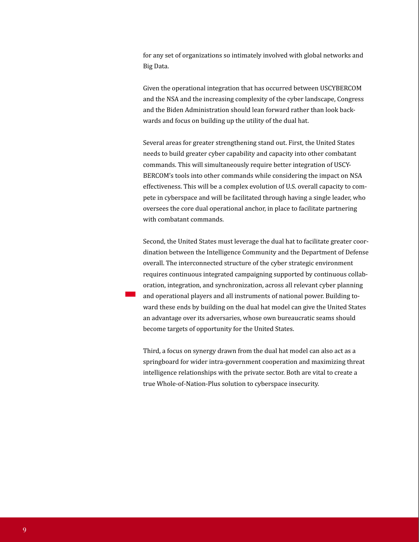for any set of organizations so intimately involved with global networks and Big Data.

Given the operational integration that has occurred between USCYBERCOM and the NSA and the increasing complexity of the cyber landscape, Congress and the Biden Administration should lean forward rather than look backwards and focus on building up the utility of the dual hat.

Several areas for greater strengthening stand out. First, the United States needs to build greater cyber capability and capacity into other combatant commands. This will simultaneously require better integration of USCY-BERCOM's tools into other commands while considering the impact on NSA effectiveness. This will be a complex evolution of U.S. overall capacity to compete in cyberspace and will be facilitated through having a single leader, who oversees the core dual operational anchor, in place to facilitate partnering with combatant commands.

Second, the United States must leverage the dual hat to facilitate greater coordination between the Intelligence Community and the Department of Defense overall. The interconnected structure of the cyber strategic environment requires continuous integrated campaigning supported by continuous collaboration, integration, and synchronization, across all relevant cyber planning and operational players and all instruments of national power. Building toward these ends by building on the dual hat model can give the United States an advantage over its adversaries, whose own bureaucratic seams should become targets of opportunity for the United States.

**Building toward these ends by building on the dual hat model can give the United States an advantage over its adversaries, whose own bureaucratic seams should become targets of opportunity for the United States.**

Third, a focus on synergy drawn from the dual hat model can also act as a springboard for wider intra-government cooperation and maximizing threat intelligence relationships with the private sector. Both are vital to create a true Whole-of-Nation-Plus solution to cyberspace insecurity.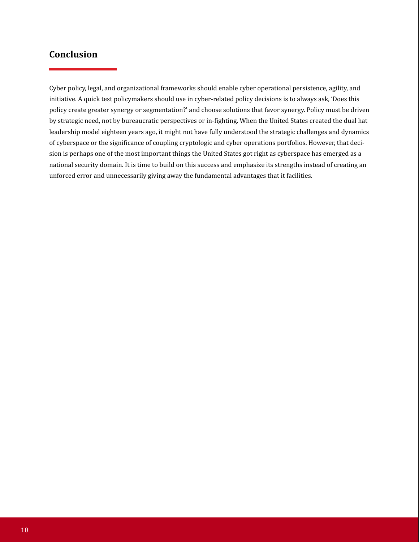# **Conclusion**

Cyber policy, legal, and organizational frameworks should enable cyber operational persistence, agility, and initiative. A quick test policymakers should use in cyber-related policy decisions is to always ask, 'Does this policy create greater synergy or segmentation?' and choose solutions that favor synergy. Policy must be driven by strategic need, not by bureaucratic perspectives or in-fighting. When the United States created the dual hat leadership model eighteen years ago, it might not have fully understood the strategic challenges and dynamics of cyberspace or the significance of coupling cryptologic and cyber operations portfolios. However, that decision is perhaps one of the most important things the United States got right as cyberspace has emerged as a national security domain. It is time to build on this success and emphasize its strengths instead of creating an unforced error and unnecessarily giving away the fundamental advantages that it facilities.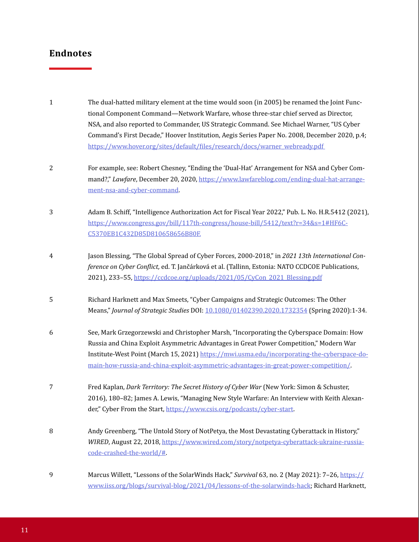- The dual-hatted military element at the time would soon (in 2005) be renamed the Joint Functional Component Command—Network Warfare, whose three-star chief served as Director, NSA, and also reported to Commander, US Strategic Command. See Michael Warner, "US Cyber Command's First Decade," Hoover Institution, Aegis Series Paper No. 2008, December 2020, p.4; https://www.hover.org/sites/default/files/research/docs/warner\_webready.pdf For example, see: Robert Chesney, "Ending the 'Dual-Hat' Arrangement for NSA and Cyber Command?," *Lawfare*, December 20, 2020, [https://www.lawfareblog.com/ending-dual-hat-arrange](https://www.lawfareblog.com/ending-dual-hat-arrangement-nsa-and-cyber-command)ment-nsa-and-cyber-command. Adam B. Schiff, "Intelligence Authorization Act for Fiscal Year 2022," Pub. L. No. H.R.5412 (2021), [https://www.congress.gov/bill/117th-congress/house-bill/5412/text?r=34&s=1#HF6C-](https://www.congress.gov/bill/117th-congress/house-bill/5412/text?r=34&s=1#HF6CC5370EB1C432D85D81065)C5370EB1C432D85D810658656B80F. Jason Blessing, "The Global Spread of Cyber Forces, 2000-2018," in *2021 13th International Conference on Cyber Conflict,* ed. T. Jančárková et al. (Tallinn, Estonia: NATO CCDCOE Publications, 2021), 233–55, [https://ccdcoe.org/uploads/2021/05/CyCon\\_2021\\_Blessing.pdf](https://ccdcoe.org/uploads/2021/05/CyCon_2021_Blessing.pdf) 1 2 3 4
- Richard Harknett and Max Smeets, "Cyber Campaigns and Strategic Outcomes: The Other Means," *Journal of Strategic Studies* DOI: [10.1080/01402390.2020.1732354](https://www.tandfonline.com/doi/full/10.1080/01402390.2020.1732354) (Spring 2020):1-34. 5
- See, Mark Grzegorzewski and Christopher Marsh, "Incorporating the Cyberspace Domain: How Russia and China Exploit Asymmetric Advantages in Great Power Competition," Modern War Institute-West Point (March 15, 2021[\) https://mwi.usma.edu/incorporating-the-cyberspace-do](https://mwi.usma.edu/incorporating-the-cyberspace-domain-how-russia-and-china-exploit-asymmetric-advantages-in-great-power-competition/)main-how-russia-and-china-exploit-asymmetric-advantages-in-great-power-competition/. 6
- Fred Kaplan, *Dark Territory: The Secret History of Cyber War* (New York: Simon & Schuster, 2016), 180–82; James A. Lewis, "Managing New Style Warfare: An Interview with Keith Alexander," Cyber From the Start,<https://www.csis.org/podcasts/cyber-start>. 7
- Andy Greenberg, "The Untold Story of NotPetya, the Most Devastating Cyberattack in History," *WIRED*, August 22, 2018, [https://www.wired.com/story/notpetya-cyberattack-ukraine-russia](https://www.wired.com/story/notpetya-cyberattack-ukraine-russia-code-crashed-the-world/#)code-crashed-the-world/#. 8
- Marcus Willett, "Lessons of the SolarWinds Hack," *Survival* 63, no. 2 (May 2021): 7–26, https:// [www.iiss.org/blogs/survival-blog/2021/04/lessons-of-the-solarwinds-hack](https://www.iiss.org/blogs/survival-blog/2021/04/lessons-of-the-solarwinds-hack); Richard Harknett, 9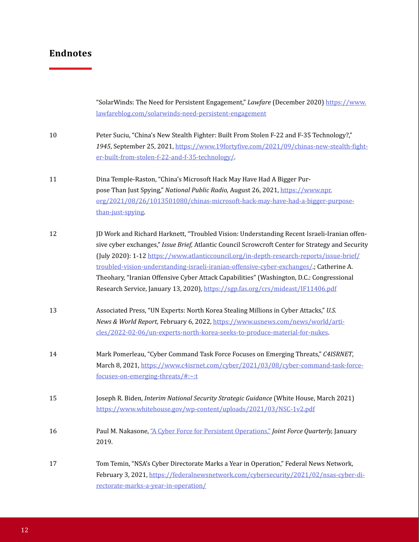|    | "SolarWinds: The Need for Persistent Engagement," Lawfare (December 2020) https://www.<br>lawfareblog.com/solarwinds-need-persistent-engagement                                                                                                                                                                                                                                                                                                                                                                                                                       |
|----|-----------------------------------------------------------------------------------------------------------------------------------------------------------------------------------------------------------------------------------------------------------------------------------------------------------------------------------------------------------------------------------------------------------------------------------------------------------------------------------------------------------------------------------------------------------------------|
| 10 | Peter Suciu, "China's New Stealth Fighter: Built From Stolen F-22 and F-35 Technology?,"<br>1945, September 25, 2021, https://www.19fortyfive.com/2021/09/chinas-new-stealth-fight-<br>er-built-from-stolen-f-22-and-f-35-technology/                                                                                                                                                                                                                                                                                                                                 |
| 11 | Dina Temple-Raston, "China's Microsoft Hack May Have Had A Bigger Pur-<br>pose Than Just Spying," National Public Radio, August 26, 2021, https://www.npr.<br>org/2021/08/26/1013501080/chinas-microsoft-hack-may-have-had-a-bigger-purpose-<br>than-just-spying                                                                                                                                                                                                                                                                                                      |
| 12 | JD Work and Richard Harknett, "Troubled Vision: Understanding Recent Israeli-Iranian offen-<br>sive cyber exchanges," Issue Brief, Atlantic Council Scrowcroft Center for Strategy and Security<br>(July 2020): 1-12 https://www.atlanticcouncil.org/in-depth-research-reports/issue-brief/<br>troubled-vision-understanding-israeli-iranian-offensive-cyber-exchanges/; Catherine A.<br>Theohary, "Iranian Offensive Cyber Attack Capabilities" (Washington, D.C.: Congressional<br>Research Service, January 13, 2020), https://sgp.fas.org/crs/mideast/IF11406.pdf |
| 13 | Associated Press, "UN Experts: North Korea Stealing Millions in Cyber Attacks," U.S.<br>News & World Report, February 6, 2022, https://www.usnews.com/news/world/arti-<br>cles/2022-02-06/un-experts-north-korea-seeks-to-produce-material-for-nukes.                                                                                                                                                                                                                                                                                                                 |
| 14 | Mark Pomerleau, "Cyber Command Task Force Focuses on Emerging Threats," C4ISRNET,<br>March 8, 2021, https://www.c4isrnet.com/cyber/2021/03/08/cyber-command-task-force-<br>focuses-on-emerging-threats/#:~:t                                                                                                                                                                                                                                                                                                                                                          |
| 15 | Joseph R. Biden, Interim National Security Strategic Guidance (White House, March 2021)<br>https://www.whitehouse.gov/wp-content/uploads/2021/03/NSC-1v2.pdf                                                                                                                                                                                                                                                                                                                                                                                                          |
| 16 | Paul M. Nakasone, "A Cyber Force for Persistent Operations," Joint Force Quarterly, January<br>2019.                                                                                                                                                                                                                                                                                                                                                                                                                                                                  |
| 17 | Tom Temin, "NSA's Cyber Directorate Marks a Year in Operation," Federal News Network,<br>February 3, 2021, https://federalnewsnetwork.com/cybersecurity/2021/02/nsas-cyber-di-<br>rectorate-marks-a-year-in-operation/                                                                                                                                                                                                                                                                                                                                                |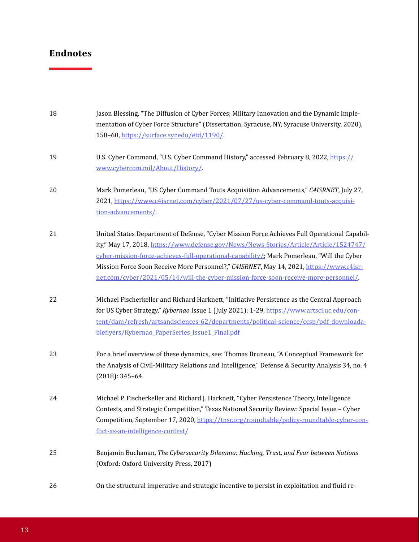| 18 | Jason Blessing, "The Diffusion of Cyber Forces; Military Innovation and the Dynamic Imple-<br>mentation of Cyber Force Structure" (Dissertation, Syracuse, NY, Syracuse University, 2020),<br>158-60, https://surface.syr.edu/etd/1190/                                                                                                                                                                                                                               |
|----|-----------------------------------------------------------------------------------------------------------------------------------------------------------------------------------------------------------------------------------------------------------------------------------------------------------------------------------------------------------------------------------------------------------------------------------------------------------------------|
| 19 | U.S. Cyber Command, "U.S. Cyber Command History," accessed February 8, 2022, https://<br>www.cybercom.mil/About/History/                                                                                                                                                                                                                                                                                                                                              |
| 20 | Mark Pomerleau, "US Cyber Command Touts Acquisition Advancements," C4ISRNET, July 27,<br>2021, https://www.c4isrnet.com/cyber/2021/07/27/us-cyber-command-touts-acquisi-<br>tion-advancements/                                                                                                                                                                                                                                                                        |
| 21 | United States Department of Defense, "Cyber Mission Force Achieves Full Operational Capabil-<br>ity," May 17, 2018, https://www.defense.gov/News/News-Stories/Article/Article/1524747/<br>cyber-mission-force-achieves-full-operational-capability/; Mark Pomerleau, "Will the Cyber<br>Mission Force Soon Receive More Personnel?," C4ISRNET, May 14, 2021, https://www.c4isr-<br>net.com/cyber/2021/05/14/will-the-cyber-mission-force-soon-receive-more-personnel/ |
| 22 | Michael Fischerkeller and Richard Harknett, "Initiative Persistence as the Central Approach<br>for US Cyber Strategy," Kybernao Issue 1 (July 2021): 1-29, https://www.artsci.uc.edu/con-<br>tent/dam/refresh/artsandsciences-62/departments/political-science/ccsp/pdf_downloada-<br>bleflyers/Kybernao_PaperSeries_Issue1_Final.pdf                                                                                                                                 |
| 23 | For a brief overview of these dynamics, see: Thomas Bruneau, "A Conceptual Framework for<br>the Analysis of Civil-Military Relations and Intelligence," Defense & Security Analysis 34, no. 4<br>$(2018): 345-64.$                                                                                                                                                                                                                                                    |
| 24 | Michael P. Fischerkeller and Richard J. Harknett, "Cyber Persistence Theory, Intelligence<br>Contests, and Strategic Competition," Texas National Security Review: Special Issue - Cyber<br>Competition, September 17, 2020, https://tnsr.org/roundtable/policy-roundtable-cyber-con-<br>flict-as-an-intelligence-contest/                                                                                                                                            |
| 25 | Benjamin Buchanan, The Cybersecurity Dilemma: Hacking, Trust, and Fear between Nations<br>(Oxford: Oxford University Press, 2017)                                                                                                                                                                                                                                                                                                                                     |
| 26 | On the structural imperative and strategic incentive to persist in exploitation and fluid re-                                                                                                                                                                                                                                                                                                                                                                         |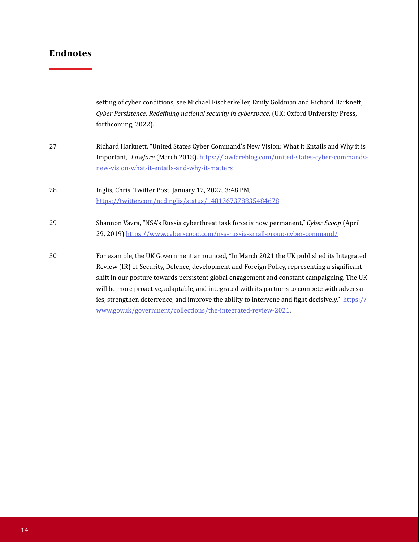|    | setting of cyber conditions, see Michael Fischerkeller, Emily Goldman and Richard Harknett,<br>Cyber Persistence: Redefining national security in cyberspace, (UK: Oxford University Press,<br>forthcoming, 2022).                                                                                                                                                                                                                                                                                                                                          |
|----|-------------------------------------------------------------------------------------------------------------------------------------------------------------------------------------------------------------------------------------------------------------------------------------------------------------------------------------------------------------------------------------------------------------------------------------------------------------------------------------------------------------------------------------------------------------|
| 27 | Richard Harknett, "United States Cyber Command's New Vision: What it Entails and Why it is<br>Important," Lawfare (March 2018). https://lawfareblog.com/united-states-cyber-commands-<br>new-vision-what-it-entails-and-why-it-matters                                                                                                                                                                                                                                                                                                                      |
| 28 | Inglis, Chris. Twitter Post. January 12, 2022, 3:48 PM,<br>https://twitter.com/ncdinglis/status/1481367378835484678                                                                                                                                                                                                                                                                                                                                                                                                                                         |
| 29 | Shannon Vavra, "NSA's Russia cyberthreat task force is now permanent," Cyber Scoop (April<br>29, 2019] https://www.cyberscoop.com/nsa-russia-small-group-cyber-command/                                                                                                                                                                                                                                                                                                                                                                                     |
| 30 | For example, the UK Government announced, "In March 2021 the UK published its Integrated<br>Review (IR) of Security, Defence, development and Foreign Policy, representing a significant<br>shift in our posture towards persistent global engagement and constant campaigning. The UK<br>will be more proactive, adaptable, and integrated with its partners to compete with adversar-<br>ies, strengthen deterrence, and improve the ability to intervene and fight decisively." https://<br>www.gov.uk/government/collections/the-integrated-review-2021 |